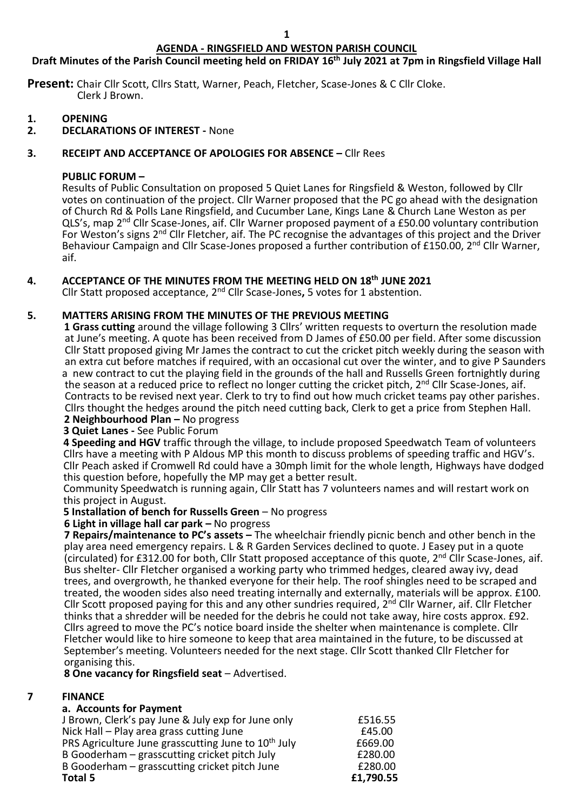# **AGENDA - RINGSFIELD AND WESTON PARISH COUNCIL**

# **Draft Minutes of the Parish Council meeting held on FRIDAY 16 th July 2021 at 7pm in Ringsfield Village Hall**

**Present:** Chair Cllr Scott, Cllrs Statt, Warner, Peach, Fletcher, Scase-Jones & C Cllr Cloke. Clerk J Brown.

- **1. OPENING**
- **2. DECLARATIONS OF INTEREST -** None

## **3. RECEIPT AND ACCEPTANCE OF APOLOGIES FOR ABSENCE –** Cllr Rees

## **PUBLIC FORUM –**

Results of Public Consultation on proposed 5 Quiet Lanes for Ringsfield & Weston, followed by Cllr votes on continuation of the project. Cllr Warner proposed that the PC go ahead with the designation of Church Rd & Polls Lane Ringsfield, and Cucumber Lane, Kings Lane & Church Lane Weston as per QLS's, map 2<sup>nd</sup> Cllr Scase-Jones, aif. Cllr Warner proposed payment of a £50.00 voluntary contribution For Weston's signs 2<sup>nd</sup> Cllr Fletcher, aif. The PC recognise the advantages of this project and the Driver Behaviour Campaign and Cllr Scase-Jones proposed a further contribution of £150.00, 2<sup>nd</sup> Cllr Warner, aif.

# **4. ACCEPTANCE OF THE MINUTES FROM THE MEETING HELD ON 18th JUNE 2021**

Cllr Statt proposed acceptance, 2nd Cllr Scase-Jones**,** 5 votes for 1 abstention.

## **5. MATTERS ARISING FROM THE MINUTES OF THE PREVIOUS MEETING**

 **1 Grass cutting** around the village following 3 Cllrs' written requests to overturn the resolution made at June's meeting. A quote has been received from D James of £50.00 per field. After some discussion Cllr Statt proposed giving Mr James the contract to cut the cricket pitch weekly during the season with an extra cut before matches if required, with an occasional cut over the winter, and to give P Saunders a new contract to cut the playing field in the grounds of the hall and Russells Green fortnightly during the season at a reduced price to reflect no longer cutting the cricket pitch, 2<sup>nd</sup> Cllr Scase-Jones, aif. Contracts to be revised next year. Clerk to try to find out how much cricket teams pay other parishes. Cllrs thought the hedges around the pitch need cutting back, Clerk to get a price from Stephen Hall.  **2 Neighbourhood Plan –** No progress

**3 Quiet Lanes -** See Public Forum

**4 Speeding and HGV** traffic through the village, to include proposed Speedwatch Team of volunteers Cllrs have a meeting with P Aldous MP this month to discuss problems of speeding traffic and HGV's. Cllr Peach asked if Cromwell Rd could have a 30mph limit for the whole length, Highways have dodged this question before, hopefully the MP may get a better result.

Community Speedwatch is running again, Cllr Statt has 7 volunteers names and will restart work on this project in August.

## **5 Installation of bench for Russells Green** – No progress

## **6 Light in village hall car park –** No progress

 **7 Repairs/maintenance to PC's assets –** The wheelchair friendly picnic bench and other bench in the play area need emergency repairs. L & R Garden Services declined to quote. J Easey put in a quote (circulated) for £312.00 for both, Cllr Statt proposed acceptance of this quote,  $2^{nd}$  Cllr Scase-Jones, aif. Bus shelter- Cllr Fletcher organised a working party who trimmed hedges, cleared away ivy, dead trees, and overgrowth, he thanked everyone for their help. The roof shingles need to be scraped and treated, the wooden sides also need treating internally and externally, materials will be approx. £100. Cllr Scott proposed paying for this and any other sundries required, 2<sup>nd</sup> Cllr Warner, aif. Cllr Fletcher thinks that a shredder will be needed for the debris he could not take away, hire costs approx. £92. Cllrs agreed to move the PC's notice board inside the shelter when maintenance is complete. Cllr Fletcher would like to hire someone to keep that area maintained in the future, to be discussed at September's meeting. Volunteers needed for the next stage. Cllr Scott thanked Cllr Fletcher for organising this.

 **8 One vacancy for Ringsfield seat** – Advertised.

## **7 FINANCE**

#### **a. Accounts for Payment**

| Total 5                                                         | £1,790.55 |
|-----------------------------------------------------------------|-----------|
| B Gooderham – grasscutting cricket pitch June                   | £280.00   |
| B Gooderham – grasscutting cricket pitch July                   | £280.00   |
| PRS Agriculture June grasscutting June to 10 <sup>th</sup> July | £669.00   |
| Nick Hall - Play area grass cutting June                        | £45.00    |
| J Brown, Clerk's pay June & July exp for June only              | £516.55   |
|                                                                 |           |